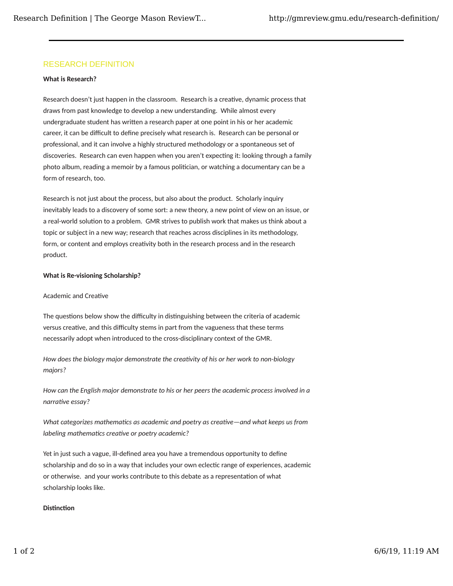# RESEARCH DEFINITION

#### **What is Research?**

Research doesn't just happen in the classroom. Research is a creative, dynamic process that draws from past knowledge to develop a new understanding. While almost every undergraduate student has written a research paper at one point in his or her academic career, it can be difficult to define precisely what research is. Research can be personal or professional, and it can involve a highly structured methodology or a spontaneous set of discoveries. Research can even happen when you aren't expecting it: looking through a family photo album, reading a memoir by a famous politician, or watching a documentary can be a form of research, too.

Research is not just about the process, but also about the product. Scholarly inquiry inevitably leads to a discovery of some sort: a new theory, a new point of view on an issue, or a real-world solution to a problem. GMR strives to publish work that makes us think about a topic or subject in a new way; research that reaches across disciplines in its methodology, form, or content and employs creativity both in the research process and in the research product.

#### **What is Re-visioning Scholarship?**

### Academic and Creative

The questions below show the difficulty in distinguishing between the criteria of academic versus creative, and this difficulty stems in part from the vagueness that these terms necessarily adopt when introduced to the cross-disciplinary context of the GMR.

*How does the biology major demonstrate the crea�vity of his or her work to non-biology majors?*

*How can the English major demonstrate to his or her peers the academic process involved in a narrative essay?* 

*What categorizes mathema�cs as academic and poetry as crea�ve—and what keeps us from labeling mathematics creative or poetry academic?* 

Yet in just such a vague, ill-defined area you have a tremendous opportunity to define scholarship and do so in a way that includes your own eclec�c range of experiences, academic or otherwise. and your works contribute to this debate as a representation of what scholarship looks like.

## **Distinction**